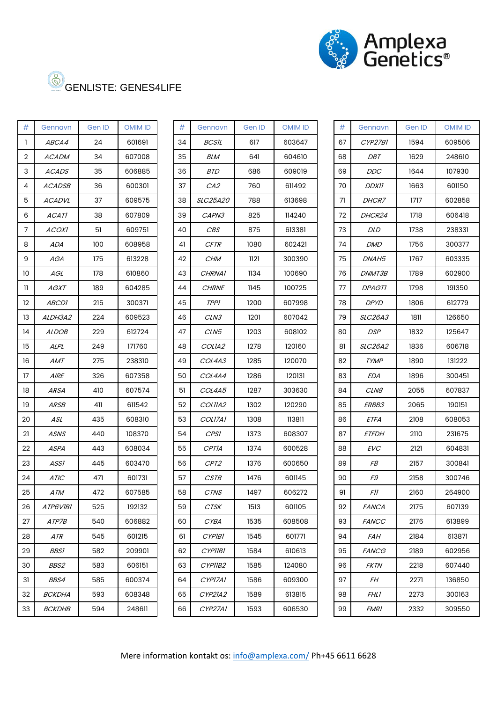

| #  | Gennavn         | Gen ID | <b>OMIM ID</b> |
|----|-----------------|--------|----------------|
| 1  | <i>ABCA4</i>    | 24     | 601691         |
| 2  | <i>ACADM</i>    | 34     | 607008         |
| 3  | <i>ACADS</i>    | 35     | 606885         |
| 4  | <i>ACADSB</i>   | 36     | 600301         |
| 5  | <i>ACADVL</i>   | 37     | 609575         |
| 6  | ACATI           | 38     | 607809         |
| 7  | <i>ACOXI</i>    | 51     | 609751         |
| 8  | ADA             | 100    | 608958         |
| 9  | AGA             | 175    | 613228         |
| 10 | AGL             | 178    | 610860         |
| 11 | AGXT            | 189    | 604285         |
| 12 | <i>ABCDI</i>    | 215    | 300371         |
| 13 | <i>ALDH3A2</i>  | 224    | 609523         |
| 14 | <b>ALDOB</b>    | 229    | 612724         |
| 15 | ALPL            | 249    | 171760         |
| 16 | AMT             | 275    | 238310         |
| 17 | <i>AIRE</i>     | 326    | 607358         |
| 18 | ARSA            | 410    | 607574         |
| 19 | <i>ARSB</i>     | 411    | 611542         |
| 20 | ASL             | 435    | 608310         |
| 21 | ASNS            | 440    | 108370         |
| 22 | ASPA            | 443    | 608034         |
| 23 | ASSI            | 445    | 603470         |
| 24 | ATIC            | 471    | 601731         |
| 25 | ATM             | 472    | 607585         |
| 26 | <i>ATP6VIBI</i> | 525    | 192132         |
| 27 | <i>ATP7B</i>    | 540    | 606882         |
| 28 | A TR            | 545    | 601215         |
| 29 | <i>BBS1</i>     | 582    | 209901         |
| 30 | <i>BBS2</i>     | 583    | 606151         |
| 31 | <i>BBS4</i>     | 585    | 600374         |
| 32 | <i>BCKDHA</i>   | 593    | 608348         |
| 33 | <i>BCKDHB</i>   | 594    | 248611         |

| #              | Gennavn         | Gen ID | <b>OMIM ID</b> | #  | Gennavn          | Gen ID | <b>OMIM ID</b> | #  | Gennavn        | Gen ID | <b>OMIM ID</b> |
|----------------|-----------------|--------|----------------|----|------------------|--------|----------------|----|----------------|--------|----------------|
| -1             | <i>ABCA4</i>    | 24     | 601691         | 34 | <i>BCSIL</i>     | 617    | 603647         | 67 | CYP27B1        | 1594   | 609506         |
| 2              | <b>ACADM</b>    | 34     | 607008         | 35 | BLM              | 641    | 604610         | 68 | DBT            | 1629   | 248610         |
| 3              | <b>ACADS</b>    | 35     | 606885         | 36 | <b>BTD</b>       | 686    | 609019         | 69 | DDC            | 1644   | 107930         |
| 4              | <b>ACADSB</b>   | 36     | 600301         | 37 | CA2              | 760    | 611492         | 70 | <b>DDX11</b>   | 1663   | 601150         |
| 5              | <b>ACADVL</b>   | 37     | 609575         | 38 | SLC25A20         | 788    | 613698         | 71 | DHCR7          | 1717   | 602858         |
| 6              | <b>ACATI</b>    | 38     | 607809         | 39 | CAPN3            | 825    | 114240         | 72 | DHCR24         | 1718   | 606418         |
| $\overline{7}$ | <b>ACOXI</b>    | 51     | 609751         | 40 | <b>CBS</b>       | 875    | 613381         | 73 | <b>DLD</b>     | 1738   | 238331         |
| 8              | ADA             | 100    | 608958         | 41 | CFTR             | 1080   | 602421         | 74 | <b>DMD</b>     | 1756   | 300377         |
| 9              | AGA             | 175    | 613228         | 42 | <b>CHM</b>       | 1121   | 300390         | 75 | DNAH5          | 1767   | 603335         |
| 10             | AGL             | 178    | 610860         | 43 | CHRNA1           | 1134   | 100690         | 76 | DNMT3B         | 1789   | 602900         |
| Ш              | AGXT            | 189    | 604285         | 44 | <b>CHRNE</b>     | 1145   | 100725         | 77 | <b>DPAGTI</b>  | 1798   | 191350         |
| $12 \,$        | <i>ABCDI</i>    | 215    | 300371         | 45 | <b>TPPI</b>      | 1200   | 607998         | 78 | <b>DPYD</b>    | 1806   | 612779         |
| 13             | <i>ALDH3A2</i>  | 224    | 609523         | 46 | CLN3             | 1201   | 607042         | 79 | <b>SLC26A3</b> | 1811   | 126650         |
| 14             | <i>ALDOB</i>    | 229    | 612724         | 47 | CLN <sub>5</sub> | 1203   | 608102         | 80 | DSP            | 1832   | 125647         |
| 15             | ALPL            | 249    | 171760         | 48 | COLIA2           | 1278   | 120160         | 81 | <b>SLC26A2</b> | 1836   | 606718         |
| 16             | AMT             | 275    | 238310         | 49 | COL4A3           | 1285   | 120070         | 82 | <b>TYMP</b>    | 1890   | 131222         |
| 17             | $A$ IRE         | 326    | 607358         | 50 | COL4A4           | 1286   | 120131         | 83 | <b>EDA</b>     | 1896   | 300451         |
| 18             | <b>ARSA</b>     | 410    | 607574         | 51 | COL4A5           | 1287   | 303630         | 84 | CLN8           | 2055   | 607837         |
| 19             | <i>ARSB</i>     | 411    | 611542         | 52 | COLIIA2          | 1302   | 120290         | 85 | <i>ERBB3</i>   | 2065   | 190151         |
| 20             | ASL             | 435    | 608310         | 53 | COLI7A1          | 1308   | 113811         | 86 | <b>ETFA</b>    | 2108   | 608053         |
| 21             | <b>ASNS</b>     | 440    | 108370         | 54 | CPS1             | 1373   | 608307         | 87 | <b>ETFDH</b>   | 2110   | 231675         |
| 22             | <b>ASPA</b>     | 443    | 608034         | 55 | <b>CPTIA</b>     | 1374   | 600528         | 88 | <b>EVC</b>     | 2121   | 604831         |
| 23             | ASSI            | 445    | 603470         | 56 | CPT <sub>2</sub> | 1376   | 600650         | 89 | F8             | 2157   | 300841         |
| 24             | <b>ATIC</b>     | 471    | 601731         | 57 | <b>CSTB</b>      | 1476   | 601145         | 90 | F9             | 2158   | 300746         |
| 25             | ATM             | 472    | 607585         | 58 | <b>CTNS</b>      | 1497   | 606272         | 91 | F11            | 2160   | 264900         |
| 26             | <i>ATP6VIBI</i> | 525    | 192132         | 59 | <b>CTSK</b>      | 1513   | 601105         | 92 | <b>FANCA</b>   | 2175   | 607139         |
| 27             | <i>ATP7B</i>    | 540    | 606882         | 60 | CYBA             | 1535   | 608508         | 93 | <b>FANCC</b>   | 2176   | 613899         |
| 28             | ATR             | 545    | 601215         | 61 | <i>CYPIBI</i>    | 1545   | 601771         | 94 | <b>FAH</b>     | 2184   | 613871         |
| 29             | <i>BBS1</i>     | 582    | 209901         | 62 | <i>CYPIIBI</i>   | 1584   | 610613         | 95 | <b>FANCG</b>   | 2189   | 602956         |
| 30             | <i>BBS2</i>     | 583    | 606151         | 63 | CYPIIB2          | 1585   | 124080         | 96 | <b>FKTN</b>    | 2218   | 607440         |
| 31             | <i>BBS4</i>     | 585    | 600374         | 64 | CYPI7A1          | 1586   | 609300         | 97 | FH             | 2271   | 136850         |
| 32             | <b>BCKDHA</b>   | 593    | 608348         | 65 | <i>CYP21A2</i>   | 1589   | 613815         | 98 | <i>FHL1</i>    | 2273   | 300163         |
| 33             | <b>BCKDHB</b>   | 594    | 248611         | 66 | CYP27A1          | 1593   | 606530         | 99 | <b>FMR1</b>    | 2332   | 309550         |
|                |                 |        |                |    |                  |        |                |    |                |        |                |

| Gennavn        | Gen ID | <b>OMIM ID</b> |  |  |  |
|----------------|--------|----------------|--|--|--|
|                |        |                |  |  |  |
| CYP27B1        | 1594   | 609506         |  |  |  |
| DBT            | 1629   | 248610         |  |  |  |
| <i>DDC</i>     | 1644   | 107930         |  |  |  |
| <i>DDX11</i>   | 1663   | 601150         |  |  |  |
| <i>DHCR7</i>   | 1717   | 602858         |  |  |  |
| <b>DHCR24</b>  | 1718   | 606418         |  |  |  |
| DLD            | 1738   | 238331         |  |  |  |
| <i>DMD</i>     | 1756   | 300377         |  |  |  |
| <i>DNAH5</i>   | 1767   | 603335         |  |  |  |
| <i>DNMT3B</i>  | 1789   | 602900         |  |  |  |
| <b>DPAGTI</b>  | 1798   | 191350         |  |  |  |
| <b>DPYD</b>    | 1806   | 612779         |  |  |  |
| <i>SLC26A3</i> | 1811   | 126650         |  |  |  |
| DSP            | 1832   | 125647         |  |  |  |
| <i>SLC26A2</i> | 1836   | 606718         |  |  |  |
| <b>TYMP</b>    | 1890   | 131222         |  |  |  |
| EDA            | 1896   | 300451         |  |  |  |
| <i>CLN8</i>    | 2055   | 607837         |  |  |  |
| <i>ERBB3</i>   | 2065   |                |  |  |  |
| ETFA           | 2108   | 608053         |  |  |  |
| <i>ETFDH</i>   | 2110   | 231675         |  |  |  |
| EVC            | 2121   | 604831         |  |  |  |
| F8             | 2157   | 300841         |  |  |  |
| F9             | 2158   | 300746         |  |  |  |
| ΗI             | 2160   | 264900         |  |  |  |
| <b>FANCA</b>   | 2175   | 607139         |  |  |  |
| <i>FANCC</i>   | 2176   | 613899         |  |  |  |
| <i>FAH</i>     | 2184   | 613871         |  |  |  |
| FANCG          | 2189   | 602956         |  |  |  |
| <i>FKTN</i>    | 2218   | 607440         |  |  |  |
| FΗ             | 2271   | 136850         |  |  |  |
| <i>FHL1</i>    | 2273   | 300163         |  |  |  |
| FMR1           | 2332   | 309550         |  |  |  |
|                |        |                |  |  |  |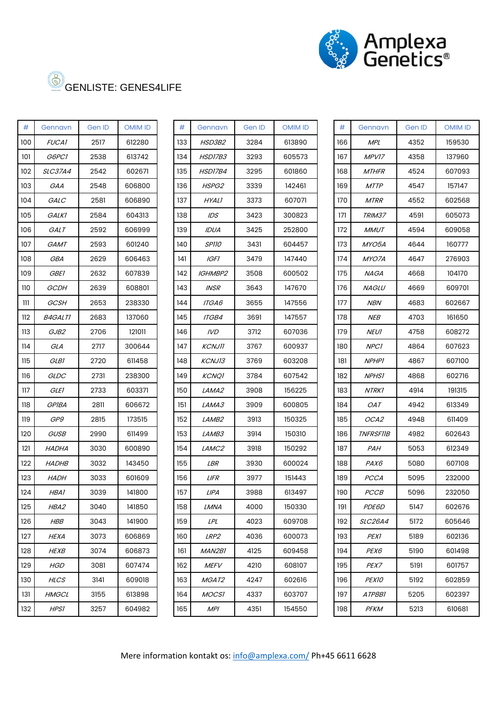

| #   | Gennavn        | Gen ID | <b>OMIM ID</b> |
|-----|----------------|--------|----------------|
| 100 | <i>FUCA1</i>   | 2517   | 612280         |
| 101 | <i>G6PC1</i>   | 2538   | 613742         |
| 102 | <i>SLC37A4</i> | 2542   | 602671         |
| 103 | GAA            | 2548   | 606800         |
| 104 | GALC           | 2581   | 606890         |
| 105 | <b>GALKI</b>   | 2584   | 604313         |
| 106 | GALT           | 2592   | 606999         |
| 107 | GAMT           | 2593   | 601240         |
| 108 | GBA            | 2629   | 606463         |
| 109 | <i>GBE1</i>    | 2632   | 607839         |
| 110 | GCDH           | 2639   | 608801         |
| ווו | GCSH           | 2653   | 238330         |
| 112 | <i>B4GALTI</i> | 2683   | 137060         |
| 113 | <i>GJB2</i>    | 2706   | 121011         |
| 114 | GLA            | 2717   | 300644         |
| 115 | GLB1           | 2720   | 611458         |
| 116 | <i>GLDC</i>    | 2731   | 238300         |
| 117 | <i>GLE1</i>    | 2733   | 603371         |
| 118 | GPIBA          | 2811   | 606672         |
| 119 | GP9            | 2815   | 173515         |
| 120 | <i>GUSB</i>    | 2990   | 611499         |
| 121 | HADHA          | 3030   | 600890         |
| 122 | <i>HADHB</i>   | 3032   | 143450         |
| 123 | <i>HADH</i>    | 3033   | 601609         |
| 124 | HBA1           | 3039   | 141800         |
| 125 | <i>HBA2</i>    | 3040   | 141850         |
| 126 | HBB            | 3043   | 141900         |
| 127 | HEXA           | 3073   | 606869         |
| 128 | <i>HEXB</i>    | 3074   | 606873         |
| 129 | <b>HGD</b>     | 3081   | 607474         |
| 130 | <b>HLCS</b>    | 3141   | 609018         |
| 131 | <i>HMGCL</i>   | 3155   | 613898         |
| 132 | HPSI           | 3257   | 604982         |

| #   | Gennavn        | Gen ID | <b>OMIM ID</b> | #   | Gennavn           | Gen ID | <b>OMIM ID</b> | #   | Gennavn          | Gen ID | <b>OMIM ID</b> |
|-----|----------------|--------|----------------|-----|-------------------|--------|----------------|-----|------------------|--------|----------------|
| 100 | <b>FUCA1</b>   | 2517   | 612280         | 133 | <i>HSD3B2</i>     | 3284   | 613890         | 166 | <b>MPL</b>       | 4352   | 159530         |
| 101 | G6PC1          | 2538   | 613742         | 134 | HSD17B3           | 3293   | 605573         | 167 | MPV17            | 4358   | 137960         |
| 102 | <b>SLC37A4</b> | 2542   | 602671         | 135 | HSD17B4           | 3295   | 601860         | 168 | <b>MTHFR</b>     | 4524   | 607093         |
| 103 | GAA            | 2548   | 606800         | 136 | HSPG2             | 3339   | 142461         | 169 | <b>MTTP</b>      | 4547   | 157147         |
| 104 | GALC           | 2581   | 606890         | 137 | HYALI             | 3373   | 607071         | 170 | <b>MTRR</b>      | 4552   | 602568         |
| 105 | <i>GALKI</i>   | 2584   | 604313         | 138 | IDS               | 3423   | 300823         | 171 | <i>TRIM37</i>    | 4591   | 605073         |
| 106 | GALT           | 2592   | 606999         | 139 | <b>IDUA</b>       | 3425   | 252800         | 172 | <b>MMUT</b>      | 4594   | 609058         |
| 107 | GAMT           | 2593   | 601240         | 140 | <i>SPIIO</i>      | 3431   | 604457         | 173 | MYO5A            | 4644   | 160777         |
| 108 | GBA            | 2629   | 606463         | 141 | <b>IGFI</b>       | 3479   | 147440         | 174 | MYO7A            | 4647   | 276903         |
| 109 | <b>GBE1</b>    | 2632   | 607839         | 142 | <b>IGHMBP2</b>    | 3508   | 600502         | 175 | <b>NAGA</b>      | 4668   | 104170         |
| 110 | GCDH           | 2639   | 608801         | 143 | <b>INSR</b>       | 3643   | 147670         | 176 | <b>NAGLU</b>     | 4669   | 609701         |
| Ш   | GCSH           | 2653   | 238330         | 144 | ITGA6             | 3655   | 147556         | 177 | <b>NBN</b>       | 4683   | 602667         |
| 112 | <b>B4GALTI</b> | 2683   | 137060         | 145 | <b>ITGB4</b>      | 3691   | 147557         | 178 | <b>NEB</b>       | 4703   | 161650         |
| 113 | GJB2           | 2706   | 121011         | 146 | IVD               | 3712   | 607036         | 179 | <b>NEUI</b>      | 4758   | 608272         |
| 114 | GLA            | 2717   | 300644         | 147 | <b>KCNJII</b>     | 3767   | 600937         | 180 | NPCI             | 4864   | 607623         |
| 115 | GLB1           | 2720   | 611458         | 148 | <b>KCNJ13</b>     | 3769   | 603208         | 181 | <b>NPHP1</b>     | 4867   | 607100         |
| 116 | GLDC           | 2731   | 238300         | 149 | <b>KCNQ1</b>      | 3784   | 607542         | 182 | <b>NPHS1</b>     | 4868   | 602716         |
| 117 | <b>GLEI</b>    | 2733   | 603371         | 150 | LAMA2             | 3908   | 156225         | 183 | NTRK1            | 4914   | 191315         |
| 118 | <b>GPIBA</b>   | 2811   | 606672         | 151 | LAMA3             | 3909   | 600805         | 184 | OAT              | 4942   | 613349         |
| 119 | GP9            | 2815   | 173515         | 152 | <i>LAMB2</i>      | 3913   | 150325         | 185 | OCA2             | 4948   | 611409         |
| 120 | <b>GUSB</b>    | 2990   | 611499         | 153 | LAMB3             | 3914   | 150310         | 186 | <b>TNFRSF11B</b> | 4982   | 602643         |
| 121 | <b>HADHA</b>   | 3030   | 600890         | 154 | LAMC <sub>2</sub> | 3918   | 150292         | 187 | PAH              | 5053   | 612349         |
| 122 | <b>HADHB</b>   | 3032   | 143450         | 155 | LBR               | 3930   | 600024         | 188 | PAX6             | 5080   | 607108         |
| 123 | <b>HADH</b>    | 3033   | 601609         | 156 | <b>LIFR</b>       | 3977   | 151443         | 189 | <b>PCCA</b>      | 5095   | 232000         |
| 124 | HBA1           | 3039   | 141800         | 157 | LIPA              | 3988   | 613497         | 190 | <i>PCCB</i>      | 5096   | 232050         |
| 125 | HBA2           | 3040   | 141850         | 158 | LMNA              | 4000   | 150330         | 191 | PDE6D            | 5147   | 602676         |
| 126 | <b>HBB</b>     | 3043   | 141900         | 159 | LPL               | 4023   | 609708         | 192 | <b>SLC26A4</b>   | 5172   | 605646         |
| 127 | <b>HEXA</b>    | 3073   | 606869         | 160 | LRP <sub>2</sub>  | 4036   | 600073         | 193 | <b>PEX1</b>      | 5189   | 602136         |
| 128 | <i>HEXB</i>    | 3074   | 606873         | 161 | <i>MAN2B1</i>     | 4125   | 609458         | 194 | PEX6             | 5190   | 601498         |
| 129 | HGD            | 3081   | 607474         | 162 | <b>MEFV</b>       | 4210   | 608107         | 195 | PEX7             | 5191   | 601757         |
| 130 | <b>HLCS</b>    | 3141   | 609018         | 163 | <i>MGAT2</i>      | 4247   | 602616         | 196 | <i>PEXIO</i>     | 5192   | 602859         |
| 131 | HMGCL          | 3155   | 613898         | 164 | <b>MOCSI</b>      | 4337   | 603707         | 197 | ATP8B1           | 5205   | 602397         |
| 132 | <b>HPS1</b>    | 3257   | 604982         | 165 | <b>MPI</b>        | 4351   | 154550         | 198 | <b>PFKM</b>      | 5213   | 610681         |
|     |                |        |                |     |                   |        |                |     |                  |        |                |

| #   | Gennavn          | Gen ID | <b>OMIM ID</b> |
|-----|------------------|--------|----------------|
| 166 | <b>MPL</b>       | 4352   | 159530         |
| 167 | MPV17            | 4358   | 137960         |
| 168 | <i>MTHFR</i>     | 4524   | 607093         |
| 169 | <i>MTTP</i>      | 4547   | 157147         |
| 170 | <b>MTRR</b>      | 4552   | 602568         |
| 171 | <i>TRIM37</i>    | 4591   | 605073         |
| 172 | <b>MMUT</b>      | 4594   | 609058         |
| 173 | MYO5A            | 4644   | 160777         |
| 174 | MYO7A            | 4647   | 276903         |
| 175 | NAGA             | 4668   | 104170         |
| 176 | <i>NAGLU</i>     | 4669   | 609701         |
| 177 | NBN              | 4683   | 602667         |
| 178 | NEB              | 4703   | 161650         |
| 179 | <b>NEU1</b>      | 4758   | 608272         |
| 180 | <b>NPC1</b>      | 4864   | 607623         |
| 181 | <b>NPHPI</b>     | 4867   | 607100         |
| 182 | <b>NPHSI</b>     | 4868   | 602716         |
| 183 | NTRK1            | 4914   | 191315         |
| 184 | OAT              | 4942   | 613349         |
| 185 | OCA2             | 4948   | 611409         |
| 186 | <i>TNFRSF11B</i> | 4982   | 602643         |
| 187 | <i>PAH</i>       | 5053   | 612349         |
| 188 | <i>PAX6</i>      | 5080   | 607108         |
| 189 | PCCA             | 5095   | 232000         |
| 190 | РССВ             | 5096   | 232050         |
| 191 | <i>PDE6D</i>     | 5147   | 602676         |
| 192 | <i>SLC26A4</i>   | 5172   | 605646         |
| 193 | PEX1             | 5189   | 602136         |
| 194 | PEX6             | 5190   | 601498         |
| 195 | PEX7             | 5191   | 601757         |
| 196 | <i>PEX10</i>     | 5192   | 602859         |
| 197 | ATP8B1           | 5205   | 602397         |
| 198 | РҒКМ             | 5213   | 610681         |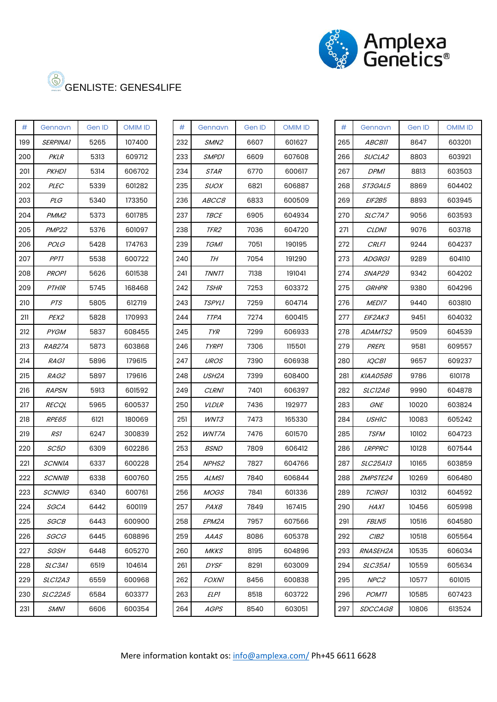

| #   | Gennavn           | Gen ID | OMIM ID |
|-----|-------------------|--------|---------|
| 199 | <i>SERPINA1</i>   | 5265   | 107400  |
| 200 | PKLR              | 5313   | 609712  |
| 201 | PKHDI             | 5314   | 606702  |
| 202 | <i>PLEC</i>       | 5339   | 601282  |
| 203 | <i>PLG</i>        | 5340   | 173350  |
| 204 | PMM2              | 5373   | 601785  |
| 205 | PMP <sub>22</sub> | 5376   | 601097  |
| 206 | <i>POLG</i>       | 5428   | 174763  |
| 207 | <i>PPT1</i>       | 5538   | 600722  |
| 208 | <b>PROPI</b>      | 5626   | 601538  |
| 209 | <i>PTHIR</i>      | 5745   | 168468  |
| 210 | <i>PTS</i>        | 5805   | 612719  |
| 211 | <i>PEX2</i>       | 5828   | 170993  |
| 212 | <i>PYGM</i>       | 5837   | 608455  |
| 213 | <i>RAB27A</i>     | 5873   | 603868  |
| 214 | <i>RAGI</i>       | 5896   | 179615  |
| 215 | <i>RAG2</i>       | 5897   | 179616  |
| 216 | <i>RAPSN</i>      | 5913   | 601592  |
| 217 | <i>RECQL</i>      | 5965   | 600537  |
| 218 | <i>RPE65</i>      | 6121   | 180069  |
| 219 | RSI               | 6247   | 300839  |
| 220 | <i>SC5D</i>       | 6309   | 602286  |
| 221 | <i>SCNNIA</i>     | 6337   | 600228  |
| 222 | <i>SCNNIB</i>     | 6338   | 600760  |
| 223 | <i>SCNNIG</i>     | 6340   | 600761  |
| 224 | SGCA              | 6442   | 600119  |
| 225 | <i>SGCB</i>       | 6443   | 600900  |
| 226 | SGCG              | 6445   | 608896  |
| 227 | <i>SGSH</i>       | 6448   | 605270  |
| 228 | <i>SLC3A1</i>     | 6519   | 104614  |
| 229 | <i>SLC12A3</i>    | 6559   | 600968  |
| 230 | <i>SLC22A5</i>    | 6584   | 603377  |
| 231 | SMN1              | 6606   | 600354  |

| #   | Gennavn           | Gen ID | <b>OMIM ID</b> | #   | Gennavn            | Gen ID | <b>OMIM ID</b> | #   | Gennavn         | Gen ID | <b>OMIM ID</b> |
|-----|-------------------|--------|----------------|-----|--------------------|--------|----------------|-----|-----------------|--------|----------------|
|     |                   | 5265   |                |     |                    | 6607   | 601627         |     |                 |        |                |
| 199 | <b>SERPINA1</b>   |        | 107400         | 232 | SMN <sub>2</sub>   |        |                | 265 | <b>ABCBII</b>   | 8647   | 603201         |
| 200 | <b>PKLR</b>       | 5313   | 609712         | 233 | <b>SMPD1</b>       | 6609   | 607608         | 266 | SUCLA2          | 8803   | 603921         |
| 201 | <b>PKHD1</b>      | 5314   | 606702         | 234 | <b>STAR</b>        | 6770   | 600617         | 267 | <b>DPMI</b>     | 8813   | 603503         |
| 202 | <b>PLEC</b>       | 5339   | 601282         | 235 | <b>SUOX</b>        | 6821   | 606887         | 268 | ST3GAL5         | 8869   | 604402         |
| 203 | <b>PLG</b>        | 5340   | 173350         | 236 | ABCC8              | 6833   | 600509         | 269 | <b>EIF2B5</b>   | 8893   | 603945         |
| 204 | PMM <sub>2</sub>  | 5373   | 601785         | 237 | <b>TBCE</b>        | 6905   | 604934         | 270 | SLC7A7          | 9056   | 603593         |
| 205 | PMP <sub>22</sub> | 5376   | 601097         | 238 | TFR2               | 7036   | 604720         | 271 | <i>CLDNI</i>    | 9076   | 603718         |
| 206 | POLG              | 5428   | 174763         | 239 | <b>TGMI</b>        | 7051   | 190195         | 272 | <b>CRLF1</b>    | 9244   | 604237         |
| 207 | <b>PPT1</b>       | 5538   | 600722         | 240 | TН                 | 7054   | 191290         | 273 | <b>ADGRG1</b>   | 9289   | 604110         |
| 208 | <b>PROPI</b>      | 5626   | 601538         | 241 | <b>TNNT1</b>       | 7138   | 191041         | 274 | SNAP29          | 9342   | 604202         |
| 209 | <b>PTHIR</b>      | 5745   | 168468         | 242 | <b>TSHR</b>        | 7253   | 603372         | 275 | GRHPR           | 9380   | 604296         |
| 210 | PTS               | 5805   | 612719         | 243 | <b>TSPYLI</b>      | 7259   | 604714         | 276 | MED17           | 9440   | 603810         |
| 211 | PEX2              | 5828   | 170993         | 244 | <b>TTPA</b>        | 7274   | 600415         | 277 | EIF2AK3         | 9451   | 604032         |
| 212 | <b>PYGM</b>       | 5837   | 608455         | 245 | TYR                | 7299   | 606933         | 278 | <i>ADAMTS2</i>  | 9509   | 604539         |
| 213 | RAB27A            | 5873   | 603868         | 246 | <b>TYRPI</b>       | 7306   | 115501         | 279 | PREPL           | 9581   | 609557         |
| 214 | <b>RAGI</b>       | 5896   | 179615         | 247 | <b>UROS</b>        | 7390   | 606938         | 280 | <b>IQCB1</b>    | 9657   | 609237         |
| 215 | RAG2              | 5897   | 179616         | 248 | USH <sub>2</sub> A | 7399   | 608400         | 281 | KIAA0586        | 9786   | 610178         |
| 216 | <b>RAPSN</b>      | 5913   | 601592         | 249 | <b>CLRN1</b>       | 7401   | 606397         | 282 | <b>SLC12A6</b>  | 9990   | 604878         |
| 217 | <b>RECQL</b>      | 5965   | 600537         | 250 | <b>VLDLR</b>       | 7436   | 192977         | 283 | GNE             | 10020  | 603824         |
| 218 | RPE65             | 6121   | 180069         | 251 | WNT3               | 7473   | 165330         | 284 | <b>USHIC</b>    | 10083  | 605242         |
| 219 | RS1               | 6247   | 300839         | 252 | WNT7A              | 7476   | 601570         | 285 | <b>TSFM</b>     | 10102  | 604723         |
| 220 | SC <sub>5D</sub>  | 6309   | 602286         | 253 | <b>BSND</b>        | 7809   | 606412         | 286 | <b>LRPPRC</b>   | 10128  | 607544         |
| 221 | <b>SCNNIA</b>     | 6337   | 600228         | 254 | NPHS <sub>2</sub>  | 7827   | 604766         | 287 | SLC25A13        | 10165  | 603859         |
| 222 | <i>SCNNIB</i>     | 6338   | 600760         | 255 | <b>ALMS1</b>       | 7840   | 606844         | 288 | ZMPSTE24        | 10269  | 606480         |
| 223 | <b>SCNNIG</b>     | 6340   | 600761         | 256 | <b>MOGS</b>        | 7841   | 601336         | 289 | TCIRGI          | 10312  | 604592         |
| 224 | <i>SGCA</i>       | 6442   | 600119         | 257 | PAX8               | 7849   | 167415         | 290 | HAXI            | 10456  | 605998         |
| 225 | <i>SGCB</i>       | 6443   | 600900         | 258 | EPM2A              | 7957   | 607566         | 291 | <i>FBLN5</i>    | 10516  | 604580         |
| 226 | SGCG              | 6445   | 608896         | 259 | AAAS               | 8086   | 605378         | 292 | CIB2            | 10518  | 605564         |
| 227 | <b>SGSH</b>       | 6448   | 605270         | 260 | MKKS               | 8195   | 604896         | 293 | <i>RNASEH2A</i> | 10535  | 606034         |
| 228 | <i>SLC3A1</i>     | 6519   | 104614         | 261 | <i>DYSF</i>        | 8291   | 603009         | 294 | <i>SLC35A1</i>  | 10559  | 605634         |
| 229 | <i>SLC12A3</i>    | 6559   | 600968         | 262 | <i>FOXNI</i>       | 8456   | 600838         | 295 | NPC2            | 10577  | 601015         |
| 230 | <b>SLC22A5</b>    | 6584   | 603377         | 263 | ELPI               | 8518   | 603722         | 296 | <b>POMTI</b>    | 10585  | 607423         |
| 231 | <i>SMN1</i>       | 6606   | 600354         | 264 | <b>AGPS</b>        | 8540   | 603051         | 297 | <i>SDCCAG8</i>  | 10806  | 613524         |
|     |                   |        |                |     |                    |        |                |     |                 |        |                |

| #   | Gennavn              | Gen ID          | OMIM ID |  |  |
|-----|----------------------|-----------------|---------|--|--|
| 265 | <b>ABCBII</b>        | 8647            | 603201  |  |  |
| 266 | <i>SUCLA2</i>        | 8803            | 603921  |  |  |
| 267 | <i>DPMI</i>          | 8813            | 603503  |  |  |
| 268 | <i>ST3GAL5</i>       | 8869            | 604402  |  |  |
| 269 | <i>EIF2B5</i>        | 8893            | 603945  |  |  |
| 270 | SLC7A7               | 9056            | 603593  |  |  |
| 271 | <i>CLDNI</i>         | 9076            | 603718  |  |  |
| 272 | <b>CRLF1</b>         | 9244            | 604237  |  |  |
| 273 | <i>ADGRGI</i>        | 9289            | 604110  |  |  |
| 274 | <i>SNAP29</i>        | 9342            | 604202  |  |  |
| 275 | <i>GRHPR</i>         | 9380            | 604296  |  |  |
| 276 | MED17                | 9440            | 603810  |  |  |
| 277 | <i>EIF2AK3</i>       | 9451            | 604032  |  |  |
| 278 | <i>ADAMTS2</i>       | 9509            | 604539  |  |  |
| 279 | PREPL                | 9581            | 609557  |  |  |
| 280 | <i>IQCB1</i>         | 9657            | 609237  |  |  |
| 281 | <i>KIAA0586</i>      | 9786            | 610178  |  |  |
| 282 | <i>SLC12A6</i>       | 9990            | 604878  |  |  |
| 283 | GNE                  | 10020<br>603824 |         |  |  |
| 284 | USHIC                | 10083           | 605242  |  |  |
| 285 | <i>TSFM</i>          | 10102           | 604723  |  |  |
| 286 | <i><b>LRPPRC</b></i> | 10128           | 607544  |  |  |
| 287 | <i>SLC25A13</i>      | 10165           | 603859  |  |  |
| 288 | <i>ZMPSTE24</i>      | 10269           | 606480  |  |  |
| 289 | TCIRGI               | 10312           | 604592  |  |  |
| 290 | HAXI                 | 10456           | 605998  |  |  |
| 291 | <i>FBLN5</i>         | 10516           | 604580  |  |  |
| 292 | CIB2                 | 10518           | 605564  |  |  |
| 293 | <i>RNASEH2A</i>      | 10535           | 606034  |  |  |
| 294 | <i>SLC35A1</i>       | 10559           | 605634  |  |  |
| 295 | NPC <sub>2</sub>     | 10577           | 601015  |  |  |
| 296 | <i>POMTI</i>         | 10585           | 607423  |  |  |
| 297 | <i>SDCCAG8</i>       | 10806           | 613524  |  |  |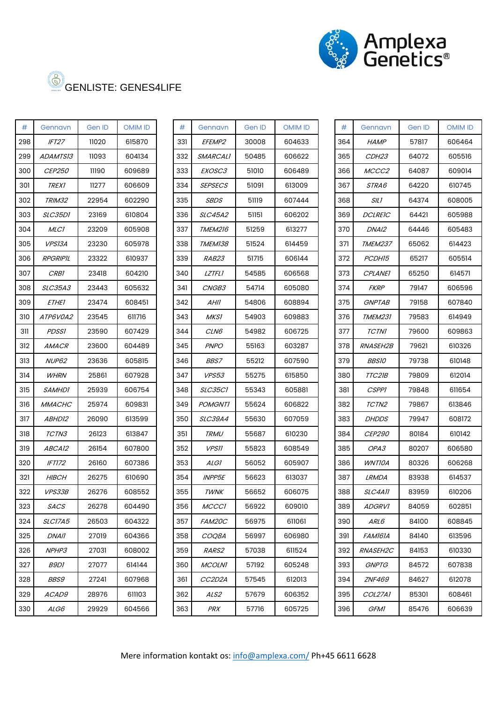

| #   | Gennavn              | Gen ID | <b>OMIM ID</b> |  |  |
|-----|----------------------|--------|----------------|--|--|
| 298 | IFT27                | 11020  | 615870         |  |  |
| 299 | <i>ADAMTS13</i>      | 11093  | 604134         |  |  |
| 300 | <i>CEP250</i>        | 11190  | 609689         |  |  |
| 301 | <i>TREX1</i>         | 11277  | 606609         |  |  |
| 302 | <i>TRIM32</i>        | 22954  | 602290         |  |  |
| 303 | <i>SLC35D1</i>       | 23169  | 610804         |  |  |
| 304 | MLCI                 | 23209  | 605908         |  |  |
| 305 | <i>VPS13A</i>        | 23230  | 605978         |  |  |
| 306 | RPGRIPIL             | 23322  | 610937         |  |  |
| 307 | <i>CRBI</i>          | 23418  | 604210         |  |  |
| 308 | <i>SLC35A3</i>       | 23443  | 605632         |  |  |
| 309 | <i>ETHEI</i>         | 23474  | 608451         |  |  |
| 310 | <i>ATP6V0A2</i>      | 23545  | 611716         |  |  |
| 311 | <i>PDSSI</i>         | 23590  | 607429         |  |  |
| 312 | <i>AMACR</i>         | 23600  | 604489         |  |  |
| 313 | <b>NUP62</b>         | 23636  | 605815         |  |  |
| 314 | <b>WHRN</b>          | 25861  | 607928         |  |  |
| 315 | <i>SAMHDI</i>        | 25939  | 606754         |  |  |
| 316 | <i>MMACHC</i>        | 25974  | 609831         |  |  |
| 317 | <i>ABHD12</i>        | 26090  | 613599         |  |  |
| 318 | <i>TCTN3</i>         | 26123  | 613847         |  |  |
| 319 | <i>ABCA12</i>        | 26154  | 607800         |  |  |
| 320 | <i>IFT172</i>        | 26160  | 607386         |  |  |
| 321 | <i>HIBCH</i>         | 26275  | 610690         |  |  |
| 322 | <i><b>VPS33B</b></i> | 26276  | 608552         |  |  |
| 323 | <i>SACS</i>          | 26278  | 604490         |  |  |
| 324 | <i>SLC17A5</i>       | 26503  | 604322         |  |  |
| 325 | DNAII                | 27019  | 604366         |  |  |
| 326 | NPHP3                | 27031  | 608002         |  |  |
| 327 | <i>B9D1</i>          | 27077  | 614144         |  |  |
| 328 | <i>BBS9</i>          | 27241  | 607968         |  |  |
| 329 | <i>ACAD9</i>         | 28976  | 611103         |  |  |
| 330 | ALG6                 | 29929  | 604566         |  |  |

| #   | Gennavn           | Gen ID | <b>OMIM ID</b> | #   | Gennavn         | Gen ID | <b>OMIM ID</b> | #   | Gennavn           | Gen ID | <b>OMIM ID</b> |
|-----|-------------------|--------|----------------|-----|-----------------|--------|----------------|-----|-------------------|--------|----------------|
| 298 | IFT <sub>27</sub> | 11020  | 615870         | 331 | EFEMP2          | 30008  | 604633         | 364 | <b>HAMP</b>       | 57817  | 606464         |
| 299 | ADAMTS13          | 11093  | 604134         | 332 | <b>SMARCALI</b> | 50485  | 606622         | 365 | CDH <sub>23</sub> | 64072  | 605516         |
| 300 | <b>CEP250</b>     | 11190  | 609689         | 333 | EXOSC3          | 51010  | 606489         | 366 | MCCC2             | 64087  | 609014         |
| 301 | <b>TREX1</b>      | 11277  | 606609         | 334 | <b>SEPSECS</b>  | 51091  | 613009         | 367 | STRA6             | 64220  | 610745         |
| 302 | TRIM32            | 22954  | 602290         | 335 | <b>SBDS</b>     | 51119  | 607444         | 368 | <b>SILI</b>       | 64374  | 608005         |
| 303 | SLC35D1           | 23169  | 610804         | 336 | <b>SLC45A2</b>  | 51151  | 606202         | 369 | <b>DCLREIC</b>    | 64421  | 605988         |
| 304 | <b>MLC1</b>       | 23209  | 605908         | 337 | <b>TMEM216</b>  | 51259  | 613277         | 370 | DNAI2             | 64446  | 605483         |
| 305 | <b>VPS13A</b>     | 23230  | 605978         | 338 | TMEM138         | 51524  | 614459         | 371 | TMEM237           | 65062  | 614423         |
| 306 | RPGRIPIL          | 23322  | 610937         | 339 | RAB23           | 51715  | 606144         | 372 | PCDH15            | 65217  | 605514         |
| 307 | <b>CRB1</b>       | 23418  | 604210         | 340 | <b>LZTFLI</b>   | 54585  | 606568         | 373 | <i>CPLANEI</i>    | 65250  | 614571         |
| 308 | <i>SLC35A3</i>    | 23443  | 605632         | 341 | <i>CNGB3</i>    | 54714  | 605080         | 374 | <b>FKRP</b>       | 79147  | 606596         |
| 309 | ETHEI             | 23474  | 608451         | 342 | AHII            | 54806  | 608894         | 375 | <b>GNPTAB</b>     | 79158  | 607840         |
| 310 | ATP6V0A2          | 23545  | 611716         | 343 | MKS1            | 54903  | 609883         | 376 | <b>TMEM231</b>    | 79583  | 614949         |
| 311 | <b>PDSS1</b>      | 23590  | 607429         | 344 | <i>CLN6</i>     | 54982  | 606725         | 377 | <b>TCTNI</b>      | 79600  | 609863         |
| 312 | <i>AMACR</i>      | 23600  | 604489         | 345 | <b>PNPO</b>     | 55163  | 603287         | 378 | <b>RNASEH2B</b>   | 79621  | 610326         |
| 313 | <b>NUP62</b>      | 23636  | 605815         | 346 | <b>BBS7</b>     | 55212  | 607590         | 379 | <b>BBS10</b>      | 79738  | 610148         |
| 314 | <b>WHRN</b>       | 25861  | 607928         | 347 | <b>VPS53</b>    | 55275  | 615850         | 380 | TTC21B            | 79809  | 612014         |
| 315 | <b>SAMHDI</b>     | 25939  | 606754         | 348 | SLC35CI         | 55343  | 605881         | 381 | <b>CSPPI</b>      | 79848  | 611654         |
| 316 | <b>MMACHC</b>     | 25974  | 609831         | 349 | <b>POMGNTI</b>  | 55624  | 606822         | 382 | TCTN <sub>2</sub> | 79867  | 613846         |
| 317 | ABHD12            | 26090  | 613599         | 350 | <i>SLC39A4</i>  | 55630  | 607059         | 383 | <b>DHDDS</b>      | 79947  | 608172         |
| 318 | TCTN3             | 26123  | 613847         | 351 | <b>TRMU</b>     | 55687  | 610230         | 384 | <b>CEP290</b>     | 80184  | 610142         |
| 319 | ABCA12            | 26154  | 607800         | 352 | <b>VPSII</b>    | 55823  | 608549         | 385 | OPA3              | 80207  | 606580         |
| 320 | <b>IFT172</b>     | 26160  | 607386         | 353 | ALGI            | 56052  | 605907         | 386 | <b>WNTIOA</b>     | 80326  | 606268         |
| 321 | <b>HIBCH</b>      | 26275  | 610690         | 354 | <b>INPP5E</b>   | 56623  | 613037         | 387 | <b>LRMDA</b>      | 83938  | 614537         |
| 322 | VPS33B            | 26276  | 608552         | 355 | <b>TWNK</b>     | 56652  | 606075         | 388 | SLC4A11           | 83959  | 610206         |
| 323 | SACS              | 26278  | 604490         | 356 | <b>MCCCI</b>    | 56922  | 609010         | 389 | <b>ADGRV1</b>     | 84059  | 602851         |
| 324 | SLC17A5           | 26503  | 604322         | 357 | FAM20C          | 56975  | 611061         | 390 | <i>ARL6</i>       | 84100  | 608845         |
| 325 | <i>DNAII</i>      | 27019  | 604366         | 358 | COQ8A           | 56997  | 606980         | 391 | FAM161A           | 84140  | 613596         |
| 326 | NPHP3             | 27031  | 608002         | 359 | <i>RARS2</i>    | 57038  | 611524         | 392 | <b>RNASEH2C</b>   | 84153  | 610330         |
| 327 | <i>B9D1</i>       | 27077  | 614144         | 360 | <b>MCOLNI</b>   | 57192  | 605248         | 393 | <b>GNPTG</b>      | 84572  | 607838         |
| 328 | <i>BBS9</i>       | 27241  | 607968         | 361 | CC2D2A          | 57545  | 612013         | 394 | <b>ZNF469</b>     | 84627  | 612078         |
| 329 | <i>ACAD9</i>      | 28976  | 611103         | 362 | ALS2            | 57679  | 606352         | 395 | COL27A1           | 85301  | 608461         |
| 330 | ALG6              | 29929  | 604566         | 363 | PRX             | 57716  | 605725         | 396 | <i>GFMI</i>       | 85476  | 606639         |
|     |                   |        |                |     |                 |        |                |     |                   |        |                |

| #   | Gennavn         | Gen ID          | <b>OMIM ID</b> |  |  |  |
|-----|-----------------|-----------------|----------------|--|--|--|
| 364 | <b>HAMP</b>     | 57817           | 606464         |  |  |  |
| 365 | <i>CDH23</i>    | 64072           | 605516         |  |  |  |
| 366 | <i>MCCC2</i>    | 64087           | 609014         |  |  |  |
| 367 | <i>STRA6</i>    | 64220           | 610745         |  |  |  |
| 368 | <i>SILI</i>     | 64374           | 608005         |  |  |  |
| 369 | <b>DCLREIC</b>  | 64421           | 605988         |  |  |  |
| 370 | DNAI2           | 64446           | 605483         |  |  |  |
| 371 | <b>TMEM237</b>  | 65062           | 614423         |  |  |  |
| 372 | PCDH15          | 65217           | 605514         |  |  |  |
| 373 | <i>CPLANEI</i>  | 65250           | 614571         |  |  |  |
| 374 | <b>FKRP</b>     | 79147           | 606596         |  |  |  |
| 375 | <b>GNPTAB</b>   | 79158           | 607840         |  |  |  |
| 376 | <i>TMEM231</i>  | 79583           | 614949         |  |  |  |
| 377 | TCTN1           | 79600           | 609863         |  |  |  |
| 378 | <i>RNASEH2B</i> | 79621           | 610326         |  |  |  |
| 379 | <i>BBS10</i>    | 79738           | 610148         |  |  |  |
| 380 | <i>TTC21B</i>   | 79809           | 612014         |  |  |  |
| 381 | <i>CSPPI</i>    | 79848           | 611654         |  |  |  |
| 382 | <i>TCTN2</i>    | 79867<br>613846 |                |  |  |  |
| 383 | <i>DHDDS</i>    | 79947           | 608172         |  |  |  |
| 384 | <i>CEP290</i>   | 80184           | 610142         |  |  |  |
| 385 | <i>OPA3</i>     | 80207           | 606580         |  |  |  |
| 386 | WNTIOA          | 80326           | 606268         |  |  |  |
| 387 | <i>LRMDA</i>    | 83938           | 614537         |  |  |  |
| 388 | SLC4A11         | 83959           | 610206         |  |  |  |
| 389 | <i>ADGRV1</i>   | 84059           | 602851         |  |  |  |
| 390 | ARL6            | 84100           | 608845         |  |  |  |
| 391 | FAMI6IA         | 84140           | 613596         |  |  |  |
| 392 | <i>RNASEH2C</i> | 84153           | 610330         |  |  |  |
| 393 | <b>GNPTG</b>    | 84572           | 607838         |  |  |  |
| 394 | <b>ZNF469</b>   | 84627           | 612078         |  |  |  |
| 395 | <i>COL27A1</i>  | 85301           | 608461         |  |  |  |
| 396 | <i>GFMI</i>     | 85476           | 606639         |  |  |  |